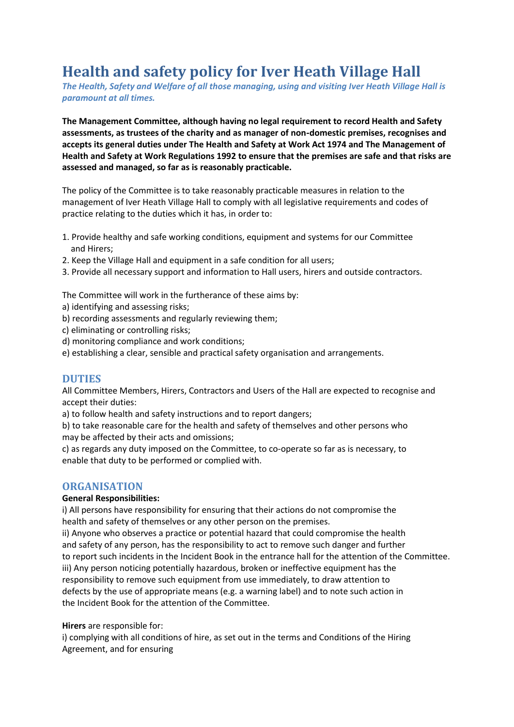# **Health and safety policy for Iver Heath Village Hall**

*The Health, Safety and Welfare of all those managing, using and visiting Iver Heath Village Hall is paramount at all times.*

**The Management Committee, although having no legal requirement to record Health and Safety assessments, as trustees of the charity and as manager of non**‐**domestic premises, recognises and accepts its general duties under The Health and Safety at Work Act 1974 and The Management of Health and Safety at Work Regulations 1992 to ensure that the premises are safe and that risks are assessed and managed, so far as is reasonably practicable.**

The policy of the Committee is to take reasonably practicable measures in relation to the management of Iver Heath Village Hall to comply with all legislative requirements and codes of practice relating to the duties which it has, in order to:

- 1. Provide healthy and safe working conditions, equipment and systems for our Committee and Hirers;
- 2. Keep the Village Hall and equipment in a safe condition for all users;
- 3. Provide all necessary support and information to Hall users, hirers and outside contractors.

The Committee will work in the furtherance of these aims by:

- a) identifying and assessing risks;
- b) recording assessments and regularly reviewing them;
- c) eliminating or controlling risks;
- d) monitoring compliance and work conditions;
- e) establishing a clear, sensible and practical safety organisation and arrangements.

#### **DUTIES**

All Committee Members, Hirers, Contractors and Users of the Hall are expected to recognise and accept their duties:

a) to follow health and safety instructions and to report dangers;

b) to take reasonable care for the health and safety of themselves and other persons who may be affected by their acts and omissions;

c) as regards any duty imposed on the Committee, to co-operate so far as is necessary, to enable that duty to be performed or complied with.

#### **ORGANISATION**

#### **General Responsibilities:**

i) All persons have responsibility for ensuring that their actions do not compromise the health and safety of themselves or any other person on the premises.

ii) Anyone who observes a practice or potential hazard that could compromise the health and safety of any person, has the responsibility to act to remove such danger and further to report such incidents in the Incident Book in the entrance hall for the attention of the Committee. iii) Any person noticing potentially hazardous, broken or ineffective equipment has the responsibility to remove such equipment from use immediately, to draw attention to defects by the use of appropriate means (e.g. a warning label) and to note such action in the Incident Book for the attention of the Committee.

#### **Hirers** are responsible for:

i) complying with all conditions of hire, as set out in the terms and Conditions of the Hiring Agreement, and for ensuring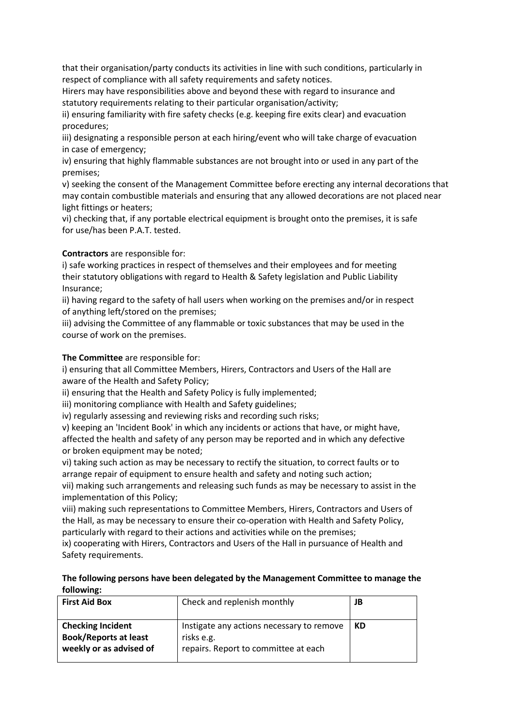that their organisation/party conducts its activities in line with such conditions, particularly in respect of compliance with all safety requirements and safety notices.

Hirers may have responsibilities above and beyond these with regard to insurance and statutory requirements relating to their particular organisation/activity;

ii) ensuring familiarity with fire safety checks (e.g. keeping fire exits clear) and evacuation procedures;

iii) designating a responsible person at each hiring/event who will take charge of evacuation in case of emergency;

iv) ensuring that highly flammable substances are not brought into or used in any part of the premises;

v) seeking the consent of the Management Committee before erecting any internal decorations that may contain combustible materials and ensuring that any allowed decorations are not placed near light fittings or heaters;

vi) checking that, if any portable electrical equipment is brought onto the premises, it is safe for use/has been P.A.T. tested.

**Contractors** are responsible for:

i) safe working practices in respect of themselves and their employees and for meeting their statutory obligations with regard to Health & Safety legislation and Public Liability Insurance;

ii) having regard to the safety of hall users when working on the premises and/or in respect of anything left/stored on the premises;

iii) advising the Committee of any flammable or toxic substances that may be used in the course of work on the premises.

**The Committee** are responsible for:

i) ensuring that all Committee Members, Hirers, Contractors and Users of the Hall are aware of the Health and Safety Policy;

ii) ensuring that the Health and Safety Policy is fully implemented;

iii) monitoring compliance with Health and Safety guidelines;

iv) regularly assessing and reviewing risks and recording such risks;

v) keeping an 'Incident Book' in which any incidents or actions that have, or might have, affected the health and safety of any person may be reported and in which any defective or broken equipment may be noted;

vi) taking such action as may be necessary to rectify the situation, to correct faults or to arrange repair of equipment to ensure health and safety and noting such action;

vii) making such arrangements and releasing such funds as may be necessary to assist in the implementation of this Policy;

viii) making such representations to Committee Members, Hirers, Contractors and Users of the Hall, as may be necessary to ensure their co-operation with Health and Safety Policy, particularly with regard to their actions and activities while on the premises;

ix) cooperating with Hirers, Contractors and Users of the Hall in pursuance of Health and Safety requirements.

| The following persons have been delegated by the Management Committee to manage the |
|-------------------------------------------------------------------------------------|
| following:                                                                          |

| <b>First Aid Box</b>                                                                | Check and replenish monthly                                                                     | JB |
|-------------------------------------------------------------------------------------|-------------------------------------------------------------------------------------------------|----|
| <b>Checking Incident</b><br><b>Book/Reports at least</b><br>weekly or as advised of | Instigate any actions necessary to remove<br>risks e.g.<br>repairs. Report to committee at each | KD |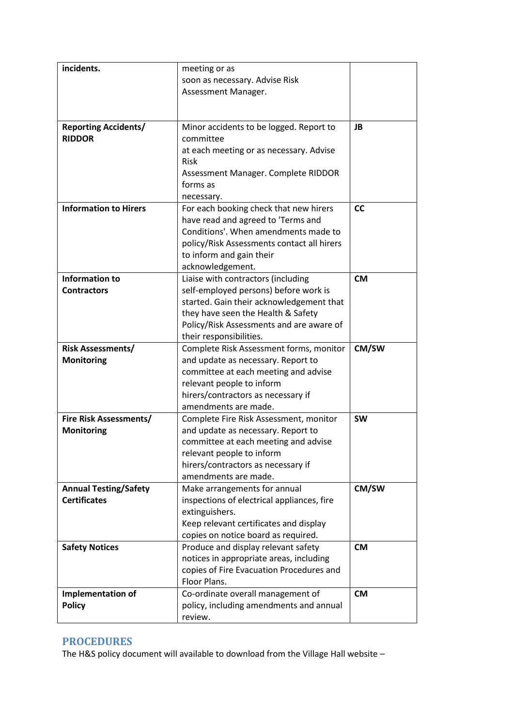| incidents.                   | meeting or as                                                                  |           |
|------------------------------|--------------------------------------------------------------------------------|-----------|
|                              | soon as necessary. Advise Risk                                                 |           |
|                              | Assessment Manager.                                                            |           |
|                              |                                                                                |           |
|                              |                                                                                |           |
| <b>Reporting Accidents/</b>  | Minor accidents to be logged. Report to                                        | <b>JB</b> |
| <b>RIDDOR</b>                | committee                                                                      |           |
|                              | at each meeting or as necessary. Advise                                        |           |
|                              | <b>Risk</b>                                                                    |           |
|                              | Assessment Manager. Complete RIDDOR                                            |           |
|                              | forms as                                                                       |           |
|                              | necessary.                                                                     |           |
| <b>Information to Hirers</b> | For each booking check that new hirers                                         | <b>CC</b> |
|                              | have read and agreed to 'Terms and                                             |           |
|                              | Conditions'. When amendments made to                                           |           |
|                              | policy/Risk Assessments contact all hirers                                     |           |
|                              | to inform and gain their                                                       |           |
| <b>Information to</b>        | acknowledgement.                                                               |           |
| <b>Contractors</b>           | Liaise with contractors (including                                             | <b>CM</b> |
|                              | self-employed persons) before work is                                          |           |
|                              | started. Gain their acknowledgement that<br>they have seen the Health & Safety |           |
|                              | Policy/Risk Assessments and are aware of                                       |           |
|                              | their responsibilities.                                                        |           |
| <b>Risk Assessments/</b>     | Complete Risk Assessment forms, monitor                                        | CM/SW     |
|                              |                                                                                |           |
|                              |                                                                                |           |
| <b>Monitoring</b>            | and update as necessary. Report to                                             |           |
|                              | committee at each meeting and advise                                           |           |
|                              | relevant people to inform                                                      |           |
|                              | hirers/contractors as necessary if<br>amendments are made.                     |           |
| Fire Risk Assessments/       | Complete Fire Risk Assessment, monitor                                         | <b>SW</b> |
| <b>Monitoring</b>            | and update as necessary. Report to                                             |           |
|                              | committee at each meeting and advise                                           |           |
|                              | relevant people to inform                                                      |           |
|                              | hirers/contractors as necessary if                                             |           |
|                              | amendments are made.                                                           |           |
| <b>Annual Testing/Safety</b> | Make arrangements for annual                                                   | CM/SW     |
| <b>Certificates</b>          | inspections of electrical appliances, fire                                     |           |
|                              | extinguishers.                                                                 |           |
|                              | Keep relevant certificates and display                                         |           |
|                              | copies on notice board as required.                                            |           |
| <b>Safety Notices</b>        | Produce and display relevant safety                                            | <b>CM</b> |
|                              | notices in appropriate areas, including                                        |           |
|                              | copies of Fire Evacuation Procedures and                                       |           |
|                              | Floor Plans.                                                                   |           |
| Implementation of            | Co-ordinate overall management of                                              | <b>CM</b> |
| <b>Policy</b>                | policy, including amendments and annual<br>review.                             |           |

# **PROCEDURES**

The H&S policy document will available to download from the Village Hall website –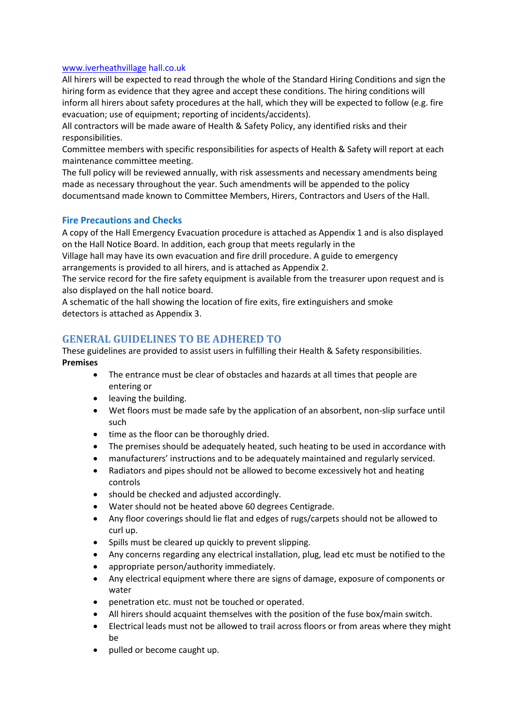#### [www.iverheathvillage](http://www.iverheathvillage/) hall.co.uk

All hirers will be expected to read through the whole of the Standard Hiring Conditions and sign the hiring form as evidence that they agree and accept these conditions. The hiring conditions will inform all hirers about safety procedures at the hall, which they will be expected to follow (e.g. fire evacuation; use of equipment; reporting of incidents/accidents).

All contractors will be made aware of Health & Safety Policy, any identified risks and their responsibilities.

Committee members with specific responsibilities for aspects of Health & Safety will report at each maintenance committee meeting.

The full policy will be reviewed annually, with risk assessments and necessary amendments being made as necessary throughout the year. Such amendments will be appended to the policy documentsand made known to Committee Members, Hirers, Contractors and Users of the Hall.

#### **Fire Precautions and Checks**

A copy of the Hall Emergency Evacuation procedure is attached as Appendix 1 and is also displayed on the Hall Notice Board. In addition, each group that meets regularly in the

Village hall may have its own evacuation and fire drill procedure. A guide to emergency arrangements is provided to all hirers, and is attached as Appendix 2.

The service record for the fire safety equipment is available from the treasurer upon request and is also displayed on the hall notice board.

A schematic of the hall showing the location of fire exits, fire extinguishers and smoke detectors is attached as Appendix 3.

### **GENERAL GUIDELINES TO BE ADHERED TO**

These guidelines are provided to assist users in fulfilling their Health & Safety responsibilities. **Premises**

- The entrance must be clear of obstacles and hazards at all times that people are entering or
- leaving the building.
- Wet floors must be made safe by the application of an absorbent, non‐slip surface until such
- time as the floor can be thoroughly dried.
- The premises should be adequately heated, such heating to be used in accordance with
- manufacturers' instructions and to be adequately maintained and regularly serviced.
- Radiators and pipes should not be allowed to become excessively hot and heating controls
- should be checked and adjusted accordingly.
- Water should not be heated above 60 degrees Centigrade.
- Any floor coverings should lie flat and edges of rugs/carpets should not be allowed to curl up.
- Spills must be cleared up quickly to prevent slipping.
- Any concerns regarding any electrical installation, plug, lead etc must be notified to the
- appropriate person/authority immediately.
- Any electrical equipment where there are signs of damage, exposure of components or water
- penetration etc. must not be touched or operated.
- All hirers should acquaint themselves with the position of the fuse box/main switch.
- Electrical leads must not be allowed to trail across floors or from areas where they might be
- pulled or become caught up.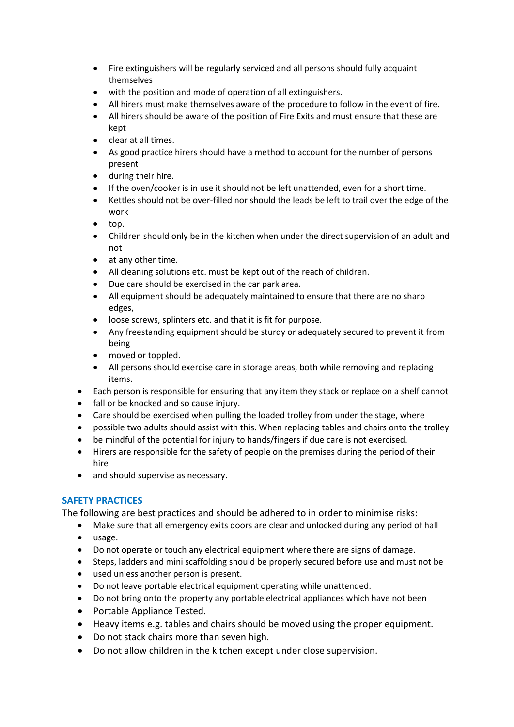- Fire extinguishers will be regularly serviced and all persons should fully acquaint themselves
- with the position and mode of operation of all extinguishers.
- All hirers must make themselves aware of the procedure to follow in the event of fire.
- All hirers should be aware of the position of Fire Exits and must ensure that these are kept
- clear at all times.
- As good practice hirers should have a method to account for the number of persons present
- during their hire.
- If the oven/cooker is in use it should not be left unattended, even for a short time.
- Kettles should not be over‐filled nor should the leads be left to trail over the edge of the work
- top.
- Children should only be in the kitchen when under the direct supervision of an adult and not
- at any other time.
- All cleaning solutions etc. must be kept out of the reach of children.
- Due care should be exercised in the car park area.
- All equipment should be adequately maintained to ensure that there are no sharp edges,
- loose screws, splinters etc. and that it is fit for purpose.
- Any freestanding equipment should be sturdy or adequately secured to prevent it from being
- moved or toppled.
- All persons should exercise care in storage areas, both while removing and replacing items.
- Each person is responsible for ensuring that any item they stack or replace on a shelf cannot
- fall or be knocked and so cause injury.
- Care should be exercised when pulling the loaded trolley from under the stage, where
- possible two adults should assist with this. When replacing tables and chairs onto the trolley
- be mindful of the potential for injury to hands/fingers if due care is not exercised.
- Hirers are responsible for the safety of people on the premises during the period of their hire
- and should supervise as necessary.

### **SAFETY PRACTICES**

The following are best practices and should be adhered to in order to minimise risks:

- Make sure that all emergency exits doors are clear and unlocked during any period of hall
- usage.
- Do not operate or touch any electrical equipment where there are signs of damage.
- Steps, ladders and mini scaffolding should be properly secured before use and must not be
- used unless another person is present.
- Do not leave portable electrical equipment operating while unattended.
- Do not bring onto the property any portable electrical appliances which have not been
- Portable Appliance Tested.
- Heavy items e.g. tables and chairs should be moved using the proper equipment.
- Do not stack chairs more than seven high.
- Do not allow children in the kitchen except under close supervision.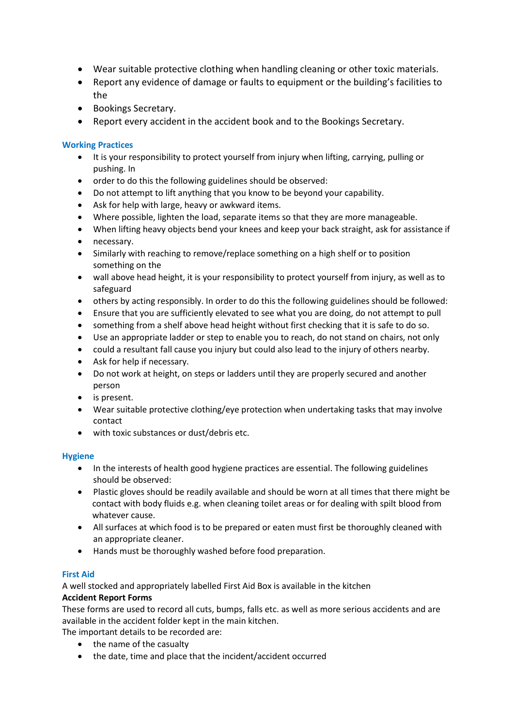- Wear suitable protective clothing when handling cleaning or other toxic materials.
- Report any evidence of damage or faults to equipment or the building's facilities to the
- Bookings Secretary.
- Report every accident in the accident book and to the Bookings Secretary.

### **Working Practices**

- It is your responsibility to protect yourself from injury when lifting, carrying, pulling or pushing. In
- order to do this the following guidelines should be observed:
- Do not attempt to lift anything that you know to be beyond your capability.
- Ask for help with large, heavy or awkward items.
- Where possible, lighten the load, separate items so that they are more manageable.
- When lifting heavy objects bend your knees and keep your back straight, ask for assistance if
- necessary.
- Similarly with reaching to remove/replace something on a high shelf or to position something on the
- wall above head height, it is your responsibility to protect yourself from injury, as well as to safeguard
- others by acting responsibly. In order to do this the following guidelines should be followed:
- Ensure that you are sufficiently elevated to see what you are doing, do not attempt to pull
- something from a shelf above head height without first checking that it is safe to do so.
- Use an appropriate ladder or step to enable you to reach, do not stand on chairs, not only
- could a resultant fall cause you injury but could also lead to the injury of others nearby.
- Ask for help if necessary.
- Do not work at height, on steps or ladders until they are properly secured and another person
- is present.
- Wear suitable protective clothing/eye protection when undertaking tasks that may involve contact
- with toxic substances or dust/debris etc.

#### **Hygiene**

- In the interests of health good hygiene practices are essential. The following guidelines should be observed:
- Plastic gloves should be readily available and should be worn at all times that there might be contact with body fluids e.g. when cleaning toilet areas or for dealing with spilt blood from whatever cause.
- All surfaces at which food is to be prepared or eaten must first be thoroughly cleaned with an appropriate cleaner.
- Hands must be thoroughly washed before food preparation.

### **First Aid**

A well stocked and appropriately labelled First Aid Box is available in the kitchen

### **Accident Report Forms**

These forms are used to record all cuts, bumps, falls etc. as well as more serious accidents and are available in the accident folder kept in the main kitchen.

The important details to be recorded are:

- the name of the casualty
- the date, time and place that the incident/accident occurred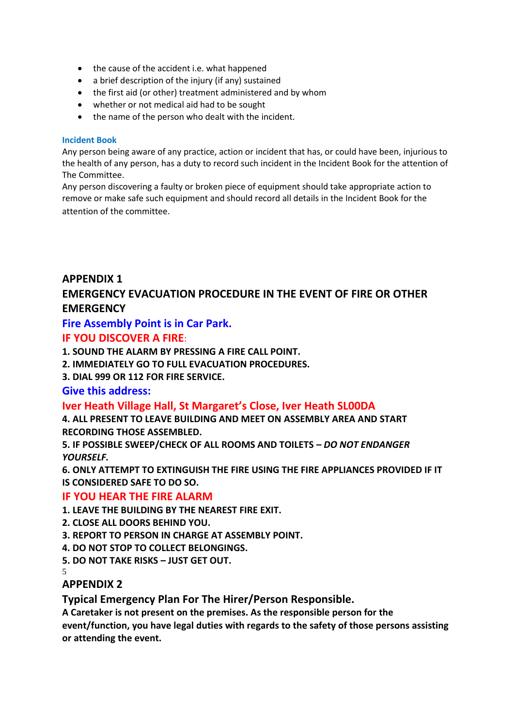- the cause of the accident i.e. what happened
- a brief description of the injury (if any) sustained
- the first aid (or other) treatment administered and by whom
- whether or not medical aid had to be sought
- the name of the person who dealt with the incident.

### **Incident Book**

Any person being aware of any practice, action or incident that has, or could have been, injurious to the health of any person, has a duty to record such incident in the Incident Book for the attention of The Committee.

Any person discovering a faulty or broken piece of equipment should take appropriate action to remove or make safe such equipment and should record all details in the Incident Book for the attention of the committee.

# **APPENDIX 1 EMERGENCY EVACUATION PROCEDURE IN THE EVENT OF FIRE OR OTHER EMERGENCY**

# **Fire Assembly Point is in Car Park.**

# **IF YOU DISCOVER A FIRE**:

**1. SOUND THE ALARM BY PRESSING A FIRE CALL POINT.**

- **2. IMMEDIATELY GO TO FULL EVACUATION PROCEDURES.**
- **3. DIAL 999 OR 112 FOR FIRE SERVICE.**

### **Give this address:**

# **Iver Heath Village Hall, St Margaret's Close, Iver Heath SL00DA**

**4. ALL PRESENT TO LEAVE BUILDING AND MEET ON ASSEMBLY AREA AND START RECORDING THOSE ASSEMBLED.**

**5. IF POSSIBLE SWEEP/CHECK OF ALL ROOMS AND TOILETS –** *DO NOT ENDANGER YOURSELF.*

**6. ONLY ATTEMPT TO EXTINGUISH THE FIRE USING THE FIRE APPLIANCES PROVIDED IF IT IS CONSIDERED SAFE TO DO SO.**

### **IF YOU HEAR THE FIRE ALARM**

- **1. LEAVE THE BUILDING BY THE NEAREST FIRE EXIT.**
- **2. CLOSE ALL DOORS BEHIND YOU.**
- **3. REPORT TO PERSON IN CHARGE AT ASSEMBLY POINT.**
- **4. DO NOT STOP TO COLLECT BELONGINGS.**
- **5. DO NOT TAKE RISKS – JUST GET OUT.**
- 5

# **APPENDIX 2**

### **Typical Emergency Plan For The Hirer/Person Responsible.**

**A Caretaker is not present on the premises. As the responsible person for the event/function, you have legal duties with regards to the safety of those persons assisting or attending the event.**